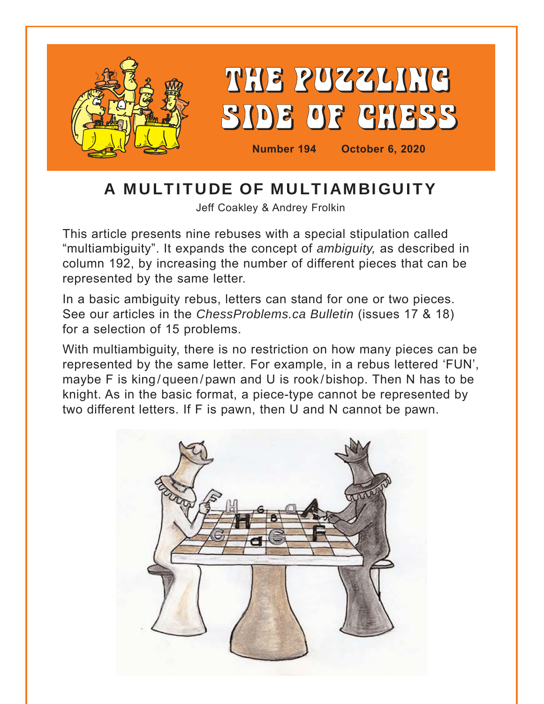

# A MULTITUDE OF MULTIAMBIGUITY

Jeff Coakley & Andrey Frolkin

This article presents nine rebuses with a special stipulation called "multiambiguity". It expands the concept of *ambiguity,* as described in column 192, by increasing the number of different pieces that can be represented by the same letter.

In a basic ambiguity rebus, letters can stand for one or two pieces. See our articles in the *ChessProblems.ca Bulletin* (issues 17 & 18) for a selection of 15 problems.

With multiambiguity, there is no restriction on how many pieces can be represented by the same letter. For example, in a rebus lettered 'FUN', maybe F is king/queen/pawn and U is rook/bishop. Then N has to be knight. As in the basic format, a piece-type cannot be represented by two different letters. If F is pawn, then U and N cannot be pawn.

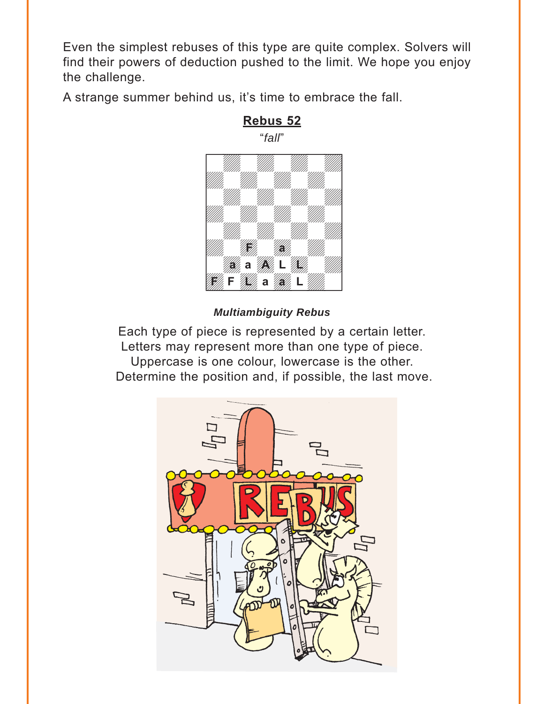<span id="page-1-0"></span>Even the simplest rebuses of this type are quite complex. Solvers will find their powers of deduction pushed to the limit. We hope you enjoy the challenge.

A strange summer behind us, it's time to embrace the fall.



**[Rebus 52](#page-10-0)** "*fall*"

#### *Multiambiguity Rebus*

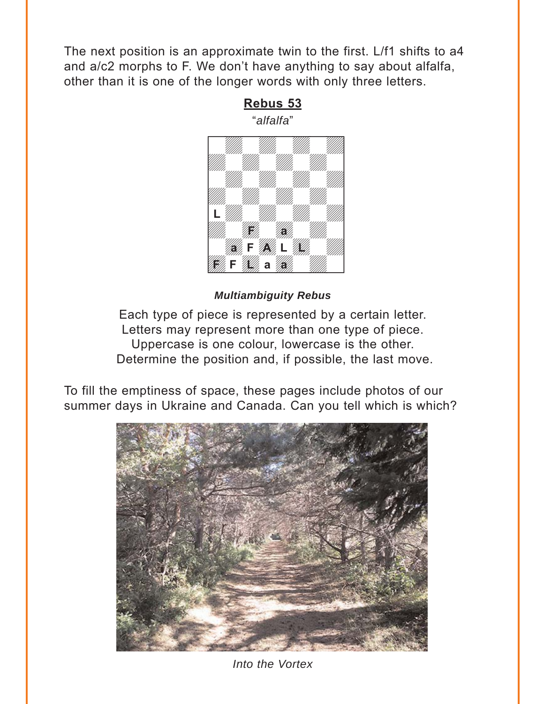<span id="page-2-0"></span>The next position is an approximate twin to the first. L/f1 shifts to a4 and a/c2 morphs to F. We don't have anything to say about alfalfa, other than it is one of the longer words with only three letters.

**[Rebus 53](#page-12-0)**



#### *Multiambiguity Rebus*

Each type of piece is represented by a certain letter. Letters may represent more than one type of piece. Uppercase is one colour, lowercase is the other. Determine the position and, if possible, the last move.

To fill the emptiness of space, these pages include photos of our summer days in Ukraine and Canada. Can you tell which is which?



*Into the Vortex*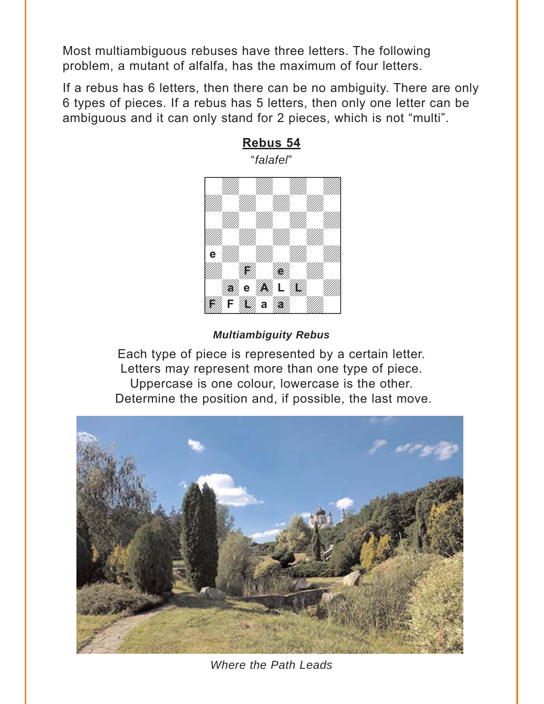<span id="page-3-0"></span>Most multiambiguous rebuses have three letters. The following problem, a mutant of alfalfa, has the maximum of four letters.

If a rebus has 6 letters, then there can be no ambiguity. There are only 6 types of pieces. If a rebus has 5 letters, then only one letter can be ambiguous and it can only stand for 2 pieces, which is not "multi".



# "*falafel*"

**[Rebus 54](#page-14-0)**

#### *Multiambiguity Rebus*  week and the second control of the second control of the second control of the second control of the second control of the second control of the second control of the second control of the second control of the second cont



*Where the Path Leads*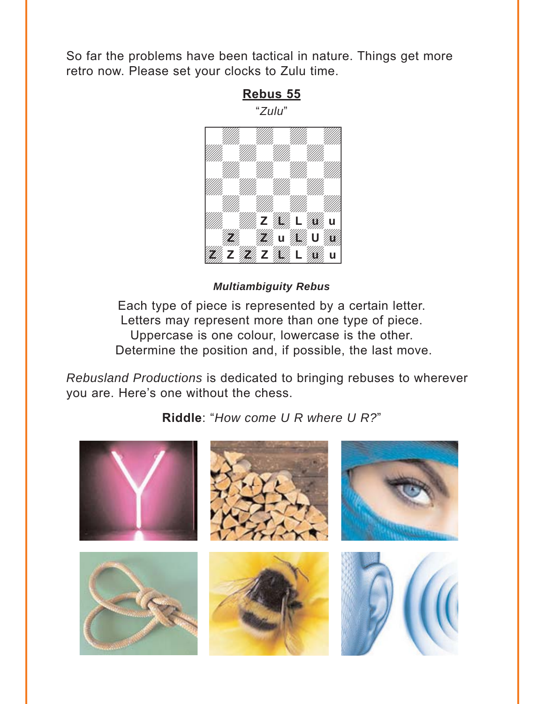<span id="page-4-0"></span>So far the problems have been tactical in nature. Things get more retro now. Please set your clocks to Zulu time.



*Multiambiguity Rebus* 

Each type of piece is represented by a certain letter. Letters may represent more than one type of piece. Uppercase is one colour, lowercase is the other. Determine the position and, if possible, the last move.

*Rebusland Productions* is dedicated to bringing rebuses to wherever you are. Here's one without the chess.

**[Riddle](#page-17-0)**: "*How come U R where U R?*"

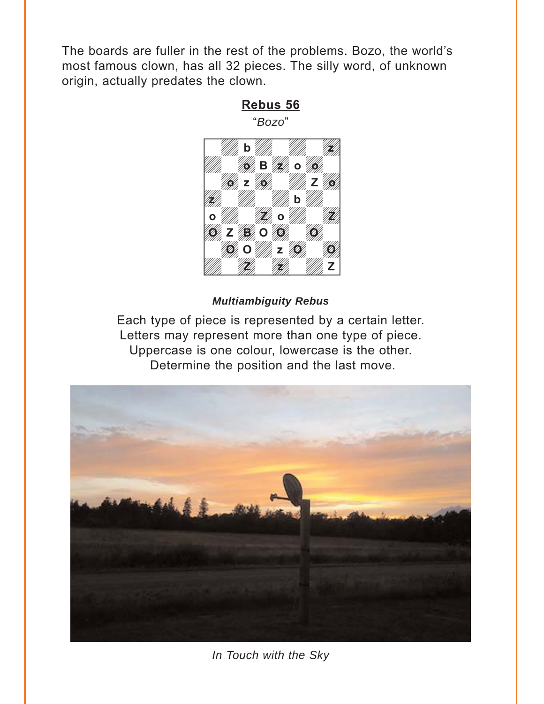<span id="page-5-0"></span>The boards are fuller in the rest of the problems. Bozo, the world's most famous clown, has all 32 pieces. The silly word, of unknown origin, actually predates the clown.



#### *Multiambiguity Rebus*



*In Touch with the Sky*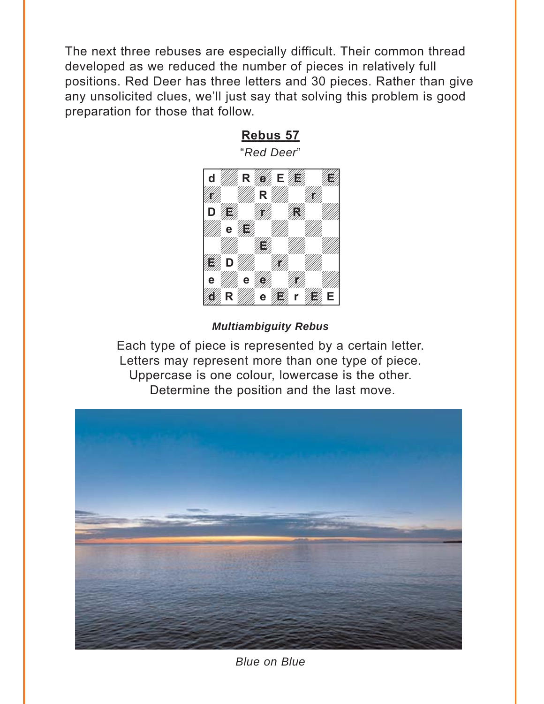<span id="page-6-0"></span>The next three rebuses are especially difficult. Their common thread developed as we reduced the number of pieces in relatively full positions. Red Deer has three letters and 30 pieces. Rather than give any unsolicited clues, we'll just say that solving this problem is good preparation for those that follow.



#### *Multiambiguity Rebus*



*Blue on Blue*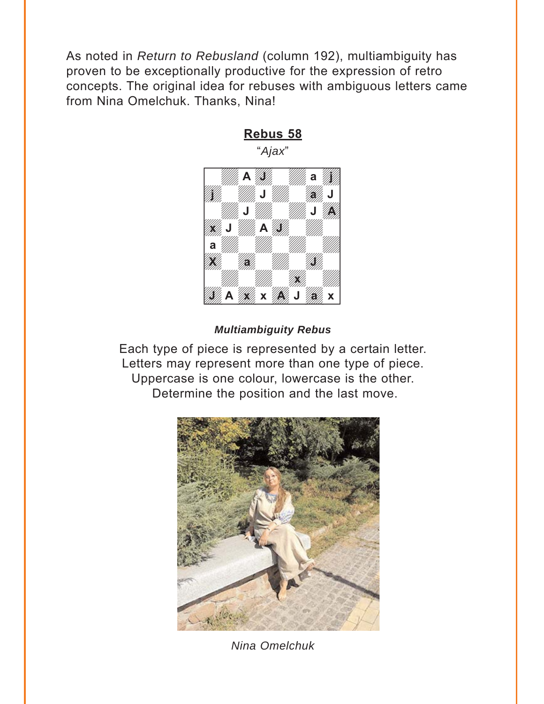<span id="page-7-0"></span>As noted in *Return to Rebusland* (column 192), multiambiguity has proven to be exceptionally productive for the expression of retro concepts. The original idea for rebuses with ambiguous letters came from Nina Omelchuk. Thanks, Nina!



# **[Rebus 58](#page-25-0)** "*Ajax*"

#### *Multiambiguity Rebus*



*Nina Omelchuk*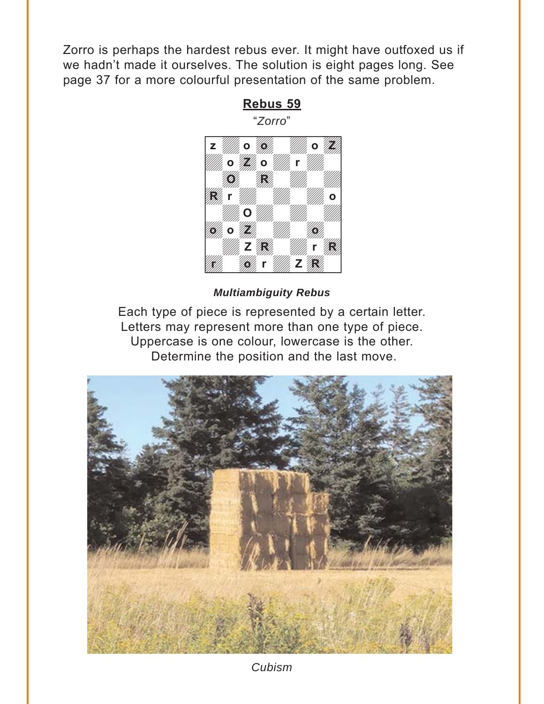<span id="page-8-0"></span>Zorro is perhaps the hardest rebus ever. It might have outfoxed us if we hadn't made it ourselves. The solution is eight pages long. See page 37 for a more colourful presentation of the same problem.

**[Rebus 59](#page-29-0)**



#### *Multiambiguity Rebus*



*Cubism*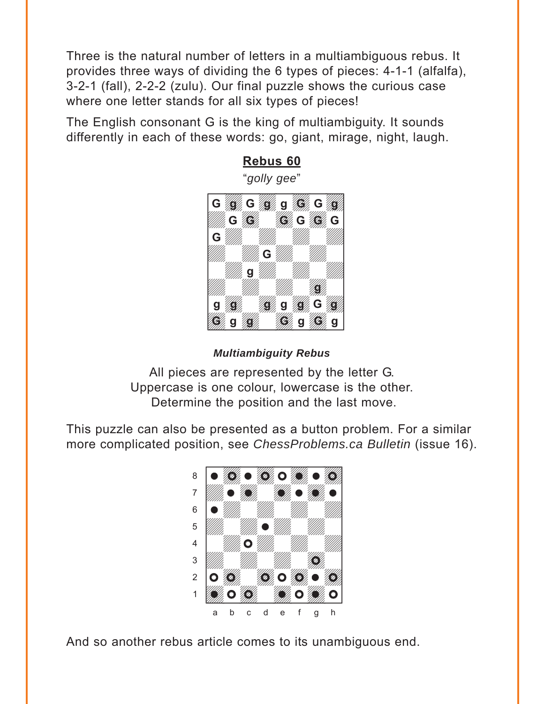<span id="page-9-0"></span>Three is the natural number of letters in a multiambiguous rebus. It provides three ways of dividing the 6 types of pieces: 4-1-1 (alfalfa), 3-2-1 (fall), 2-2-2 (zulu). Our final puzzle shows the curious case where one letter stands for all six types of pieces!

The English consonant G is the king of multiambiguity. It sounds differently in each of these words: go, giant, mirage, night, laugh.



*Multiambiguity Rebus* 

All pieces are represented by the letter G. Uppercase is one colour, lowercase is the other. Determine the position and the last move.

This puzzle can also be presented as a button problem. For a similar more complicated position, see *ChessProblems.ca Bulletin* (issue 16).



And so another rebus article comes to its unambiguous end.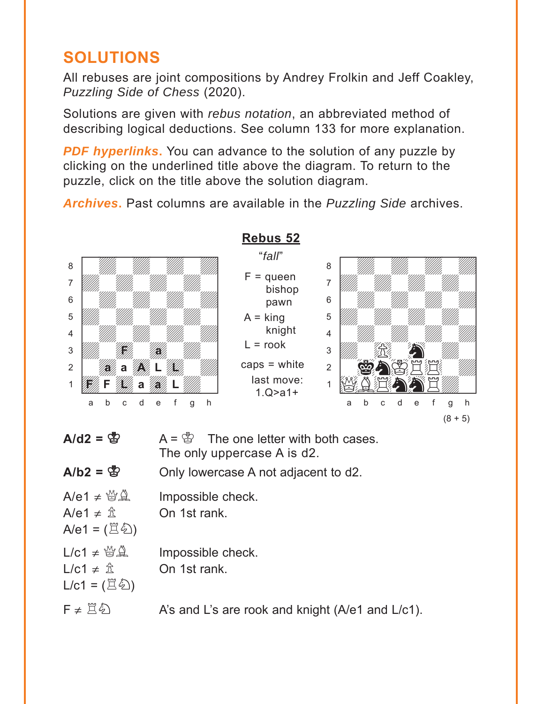# <span id="page-10-0"></span>**SOLUTIONS**

All rebuses are joint compositions by Andrey Frolkin and Jeff Coakley, *Puzzling Side of Chess* (2020).

Solutions are given with *rebus notation*, an abbreviated method of describing logical deductions. See column 133 for more explanation.

**PDF hyperlinks.** You can advance to the solution of any puzzle by clicking on the underlined title above the diagram. To return to the puzzle, click on the title above the solution diagram.

*Archives***.** Past columns are available in the *Puzzling Side* archives.



#### **[Rebus 52](#page-1-0)** "*fall*"

 $F =$ queen bishop pawn

 $A =$ king

 $L =$ rook

caps = white last move: 1.Q>a1+

knight



| A/d2 |
|------|
|      |

**B**  $A = \&$  The one letter with both cases. The only uppercase A is d2.

# $A/b2 = \frac{B}{B}$  Only lowercase A not adjacent to d2.

| $A/e1 \neq \mathcal{Q} \mathcal{Q}$ | Impossible check.    |
|-------------------------------------|----------------------|
| A/e1 $\neq$ $\hat{\mathbb{Z}}$      | On 1st rank.         |
| A/e1 = $(\Xi \&)$                   |                      |
| $L/c1 \neq \mathbb{Z} \mathbb{Q}$   | Impossible check.    |
| L/c1 $\neq$ $\hat{\mathbb{Z}}$      | On 1st rank.         |
| $L/c1 = (\Xi \&)$                   |                      |
| $F \neq \Xi \hat{\varphi}$          | A's and L's are rook |

and knight ( $A/e1$  and  $L/c1$ ).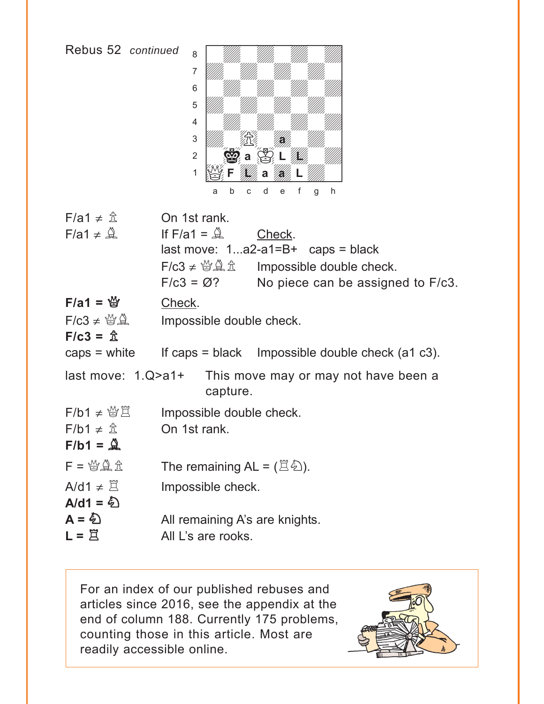

with the set of the set of the set of the set of the set of the set of the set of the set of the set of the set of the set of the set of the set of the set of the set of the set of the set of the set of the set of the set

| $F/a1 \neq \hat{\mathbb{Z}}$        | On 1st rank.                                  |                                                               |
|-------------------------------------|-----------------------------------------------|---------------------------------------------------------------|
| $F/a1 \neq \mathcal{Q}$             | If $F/a1 = \mathbb{Q}$                        | Check.                                                        |
|                                     |                                               | $last move: 1a2-a1=B+ caps = black$                           |
|                                     |                                               | Impossible double check.                                      |
|                                     | $F/c3 = \varnothing$ ?                        | No piece can be assigned to F/c3.                             |
| $F/a1 = \frac{M}{2}$                | Check.                                        |                                                               |
| $F/c3 \neq \mathcal{Q} \mathcal{Q}$ | Impossible double check.                      |                                                               |
| $F/c3 = \hat{\mathbb{Z}}$           |                                               |                                                               |
|                                     |                                               | caps = white If caps = black Impossible double check (a1 c3). |
| last move: $1.Q$ >a1+               | capture.                                      | This move may or may not have been a                          |
| $F/b1 \neq \mathcal{C} \mathcal{L}$ | Impossible double check.                      |                                                               |
| $F/b1 \neq \hat{\mathbb{Z}}$        | On 1st rank.                                  |                                                               |
| $F/b1 = \mathcal{Q}$                |                                               |                                                               |
| $F = \frac{M}{2}$                   | The remaining $AL = (\mathbb{Z} \triangle)$ . |                                                               |
| $A/d1 \neq \Xi$                     | Impossible check.                             |                                                               |
| A/d1 = $\hat{\mathfrak{D}}$         |                                               |                                                               |
| $A = \xi$                           | All remaining A's are knights.                |                                                               |
| $L = \overline{\Xi}$                | All L's are rooks.                            |                                                               |

For an index of our published rebuses and articles since 2016, see the appendix at the end of column 188. Currently 175 problems, counting those in this article. Most are readily accessible online.

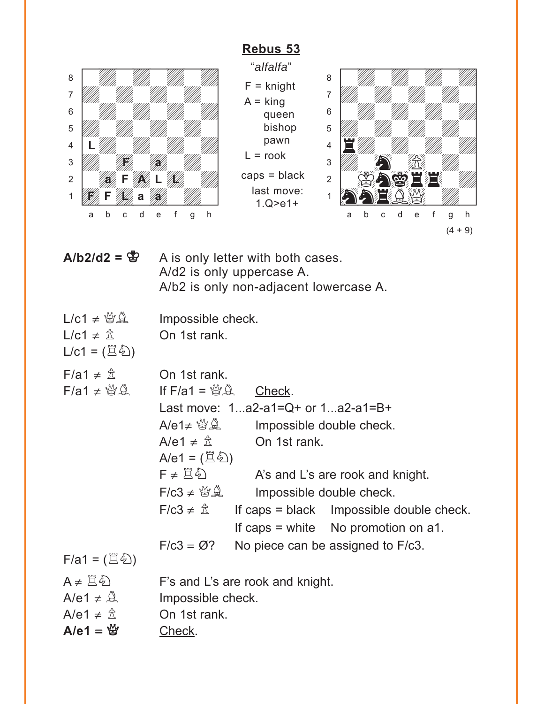# **[Rebus 53](#page-2-0)**

<span id="page-12-0"></span>

"*alfalfa*" F = knight  $A =$  king queen bishop pawn  $L =$  rook caps = black last move: 1.Q>e1+



| $A/b2/d2 = \frac{B}{Q}$ | A is only letter with both cases.      |
|-------------------------|----------------------------------------|
|                         | A/d2 is only uppercase A.              |
|                         | A/b2 is only non-adjacent lowercase A. |
|                         |                                        |

| $L/c1 \neq \mathcal{B} \mathcal{L}$                           | Impossible check.                        |                                       |                                          |
|---------------------------------------------------------------|------------------------------------------|---------------------------------------|------------------------------------------|
| L/c1 $\neq$ $\hat{\mathbb{Z}}$<br>$L/c1 = (\Xi \&)$           | On 1st rank.                             |                                       |                                          |
| $F/a1 \neq \mathbb{Z}$<br>$F/a1 \neq \mathcal{Q} \mathcal{Q}$ | On 1st rank.<br>If $F/a1 = \frac{M}{12}$ | Check.                                |                                          |
|                                                               |                                          | Last move: $1a2-a1=Q+$ or $1a2-a1=B+$ |                                          |
|                                                               | $A$ /e1 $\neq$ $\cong$ $\mathbb Q$       | Impossible double check.              |                                          |
|                                                               | A/e1 $\neq$ $\hat{\mathbb{Z}}$           | On 1st rank.                          |                                          |
|                                                               | A/e1 = $(\mathbb{E}\mathscr{L})$         |                                       |                                          |
|                                                               | $F \neq \Xi \, \hat{\omega}$             |                                       | A's and L's are rook and knight.         |
|                                                               | $F/c3 \neq \mathcal{Q} \mathcal{Q}$      | Impossible double check.              |                                          |
|                                                               | $F/c3 \neq \hat{\mathbb{Z}}$             |                                       | If caps = black Impossible double check. |
|                                                               |                                          |                                       | If caps $=$ white No promotion on a1.    |
|                                                               | $F/c3 = \varnothing$ ?                   |                                       | No piece can be assigned to F/c3.        |
| $F/a1 = (\Xi \&0)$                                            |                                          |                                       |                                          |
| $A \neq \Xi \bar{\omega}$                                     |                                          | F's and L's are rook and knight.      |                                          |
| A/e1 $\neq$ $\mathcal{Q}$                                     | Impossible check.                        |                                       |                                          |
| A/e1 $\neq$ $\hat{\mathbb{Z}}$                                | On 1st rank.                             |                                       |                                          |
| A/e1 = $\mathfrak{G}$                                         | Check.                                   |                                       |                                          |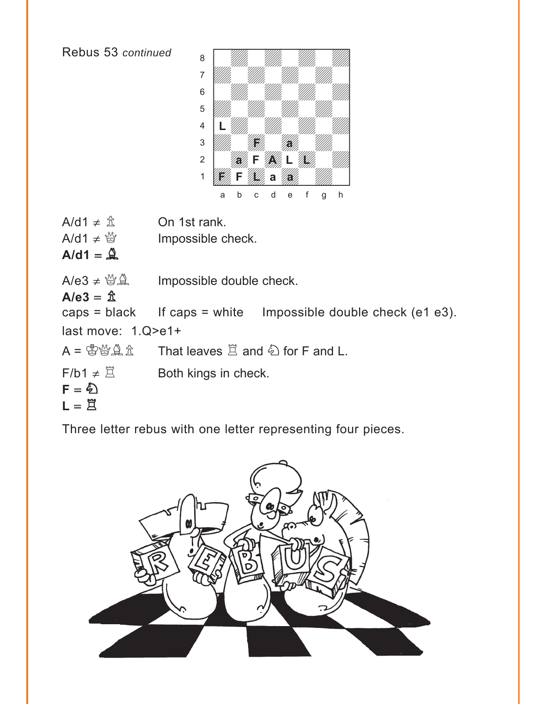Rebus 53 *continued*  $A/d1 \neq \hat{\mathbb{Z}}$  On 1st rank. A/d1  $\neq$  <sup>*M*</sup> Impossible check.  $A$ /d1 =  $\hat{A}$  $A/e3 \neq \frac{160}{16}$  Impossible double check.  $A/e3 = \mathbb{\hat{Z}}$ caps = black If caps = white Impossible double check (e1 e3). last move: 1.Q>e1+  $A = \mathbb{S} \mathbb{S} \mathbb{Q} \mathbb{R}$  That leaves  $\mathbb{Z}$  and  $\mathbb{Z}$  for F and L.  $F/b1 \neq \mathbb{Z}$  Both kings in check.  $F = \sum$  $L = \overline{Z}$ with the set of the set of the set of the set of the set of the set of the set of the set of the set of the set of the set of the set of the set of the set of the set of the set of the set of the set of the set of the set a William William William William àdwdwdwdw]  $\begin{bmatrix} 6 & 1 \end{bmatrix}$  with  $\begin{bmatrix} 1 & 1 \end{bmatrix}$  with  $\begin{bmatrix} 1 & 1 \end{bmatrix}$ **b** William William William Company and the Company of the Company of the Company of the Company of the Company of the Company of the Company of the Company of the Company of the Company of the Company of the Company of th  $\frac{4}{\sqrt{2}}$  /  $\frac{1}{\sqrt{2}}$  /  $\frac{1}{\sqrt{2}}$  /  $\frac{1}{\sqrt{2}}$  /  $\frac{1}{\sqrt{2}}$  /  $\frac{1}{\sqrt{2}}$  /  $\frac{1}{\sqrt{2}}$  /  $\frac{1}{\sqrt{2}}$  /  $\frac{1}{\sqrt{2}}$  /  $\frac{1}{\sqrt{2}}$  /  $\frac{1}{\sqrt{2}}$  /  $\frac{1}{\sqrt{2}}$  /  $\frac{1}{\sqrt{2}}$  /  $\frac{1}{\sqrt{2}}$  /  $\frac{1}{\sqrt{2}}$ 3 William Hallen Hallen 2 **ALLANDRE** 1 **Way F Way a Way** a b c d e f g h **L F a F**///, a //**a** 

Three letter rebus with one letter representing four pieces.

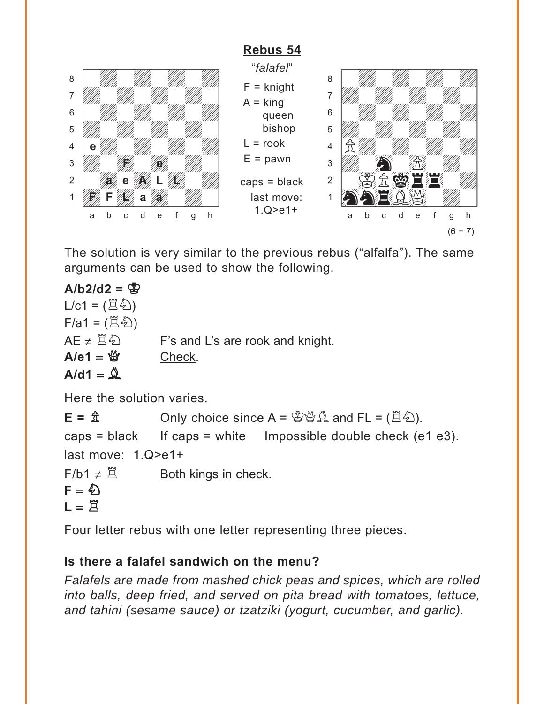# **[Rebus 54](#page-3-0)**

<span id="page-14-0"></span>

The solution is very similar to the previous rebus ("alfalfa"). The same arguments can be used to show the following.

 $A/b2/d2 = \frac{8}{32}$  $L/c1 = (\mathbb{E}\mathbb{E})$  $F/a1 = (\mathbb{E}\mathbb{Z})$  $AE \neq \Xi \hat{\otimes}$  F's and L's are rook and knight.  $A/e1 = \frac{M}{Q}$  Check.  $A/d1 = \mathbf{Q}$ 

Here the solution varies.

 $E = \hat{\mathbb{E}}$  Only choice since  $A = \hat{\mathbb{E}} \hat{\mathbb{E}} \hat{\mathbb{E}}$  and  $FL = (\hat{\mathbb{E}} \hat{\mathbb{E}})$ . caps = black If caps = white Impossible double check (e1 e3). last move: 1.Q>e1+  $F/b1 \neq \mathbb{Z}$  Both kings in check.  $F = \hat{\varphi}$  $L = \n{\overline{R}}$ 

Four letter rebus with one letter representing three pieces.

# **Is there a falafel sandwich on the menu?**

*Falafels are made from mashed chick peas and spices, which are rolled into balls, deep fried, and served on pita bread with tomatoes, lettuce, and tahini (sesame sauce) or tzatziki (yogurt, cucumber, and garlic).*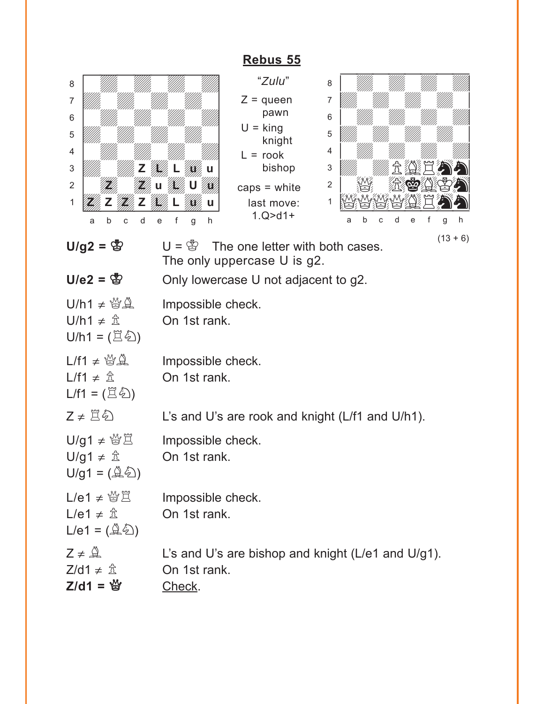<span id="page-15-0"></span>

|                                                                                                                    | Rebus 55                                                                                                                                                                                                        |
|--------------------------------------------------------------------------------------------------------------------|-----------------------------------------------------------------------------------------------------------------------------------------------------------------------------------------------------------------|
| 8<br>7<br>6<br>5<br>4<br>3<br>$\overline{2}$<br>1<br>d<br>b<br>C<br>a                                              | "Zulu"<br>8<br>$Z =$ queen<br>7<br>pawn<br>6<br>$U =$ king<br>5<br>knight<br>4<br>$=$ rook<br>bishop<br>3<br>2<br>caps $=$ white<br>1<br>last move:<br>$1.Q > d1+$<br>d<br>e<br>e<br>b<br>h<br>g<br>h<br>C<br>а |
| $U/g2 = \circledS$<br>$U/e2 = \circledS$                                                                           | $(13 + 6)$<br>$U = \mathbb{S}$<br>The one letter with both cases.<br>The only uppercase U is g2.<br>Only lowercase U not adjacent to g2.                                                                        |
| $U/h1 \neq \mathcal{Q} \mathcal{Q}$<br>U/h1 ≠ $\frac{A}{2}$<br>$U/h1 = (\mathbb{E}\mathbb{Z})$                     | Impossible check.<br>On 1st rank.                                                                                                                                                                               |
| $L/f1 \neq \mathcal{Q} \mathcal{Q}$<br>L/f1 $\neq$ $\hat{\mathbb{Z}}$<br>$L/f1 = (\Xi \&)$                         | Impossible check.<br>On 1st rank.                                                                                                                                                                               |
| $Z \neq \Xi \hat{\otimes}$                                                                                         | L's and U's are rook and knight (L/f1 and U/h1).                                                                                                                                                                |
| $U/g1 \neq \mathcal{C} \mathcal{L}$<br>$U/g1 \neq \hat{\mathbb{Z}}$<br>$U/g1 = (\hat{\mathbb{Q}}\hat{\mathbb{Z}})$ | Impossible check.<br>On 1st rank.                                                                                                                                                                               |
| L/e1 $\neq$ $\frac{M}{D}$<br>L/e1 $\neq$ $\hat{\mathbb{Z}}$<br>$L/e1 = (\mathbb{Q}\sqrt[2]{2})$                    | Impossible check.<br>On 1st rank.                                                                                                                                                                               |
| $Z \neq \mathcal{Q}$<br>$Z/d1 \neq \hat{\mathbb{Z}}$<br>$Z/d1 = \frac{16}{3}$                                      | L's and U's are bishop and knight (L/e1 and U/g1).<br>On 1st rank.<br>Check.                                                                                                                                    |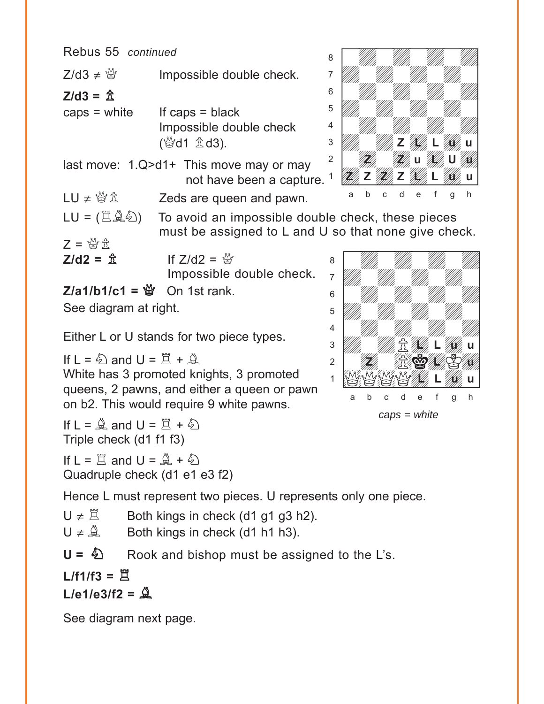| Rebus 55 continued                         |                                                      | 8              |   |  |  |  |   |
|--------------------------------------------|------------------------------------------------------|----------------|---|--|--|--|---|
| $Z/d3 \neq \frac{16}{12}$                  | Impossible double check.                             |                |   |  |  |  |   |
| Z/d3 = 쇼                                   |                                                      | 6              |   |  |  |  |   |
| caps = white                               | If caps $=$ black                                    | 5              |   |  |  |  |   |
|                                            | Impossible double check                              | 4              |   |  |  |  |   |
|                                            | (營d1 <b>金d3</b> ).                                   | 3              |   |  |  |  |   |
|                                            | last move: $1.Q > d1+$ This move may or may          | $\overline{2}$ |   |  |  |  |   |
|                                            | not have been a capture.                             |                |   |  |  |  |   |
| $LU \neq \mathbb{S} \mathbb{Z}$            | Zeds are queen and pawn.                             |                | a |  |  |  | h |
| LU = (耳鼻名)                                 | To avoid an impossible double check, these pieces    |                |   |  |  |  |   |
| $\mathcal{P} = \mathcal{M}_\ell \triangle$ | must be assigned to L and U so that none give check. |                |   |  |  |  |   |

 $Z = \mathbb{Z} \times \mathbb{Z}$ 

**Z/d2 =**  $\hat{\mathbb{Z}}$  **If Z/d2 =**  $\hat{\mathbb{Y}}$ Impossible double check.

 $Z/a1/b1/c1 = \frac{M}{Q}$  On 1st rank.

See diagram at right.

Either L or U stands for two piece types.

If  $L = \bigotimes$  and  $U = \overline{Z} + \underline{Q}$ White has 3 promoted knights, 3 promoted queens, 2 pawns, and either a queen or pawn on b2. This would require 9 white pawns.

If  $L = \mathbb{Q}$  and  $U = \mathbb{Z} + \mathbb{Q}$ Triple check (d1 f1 f3)

If  $L = \square$  and  $U = \triangle + \triangle$ Quadruple check (d1 e1 e3 f2)

Hence L must represent two pieces. U represents only one piece.

- $U \neq \mathbb{Z}$  Both kings in check (d1 g1 g3 h2).
- $U \neq \mathbb{Q}$  Both kings in check (d1 h1 h3).

 $U = \&$  Rook and bishop must be assigned to the L's.

 $L/f1/f3 = \n  $\n **R**$$  $L/e1/e3/f2 = \frac{6}{2}$ 

See diagram next page.





*caps = white*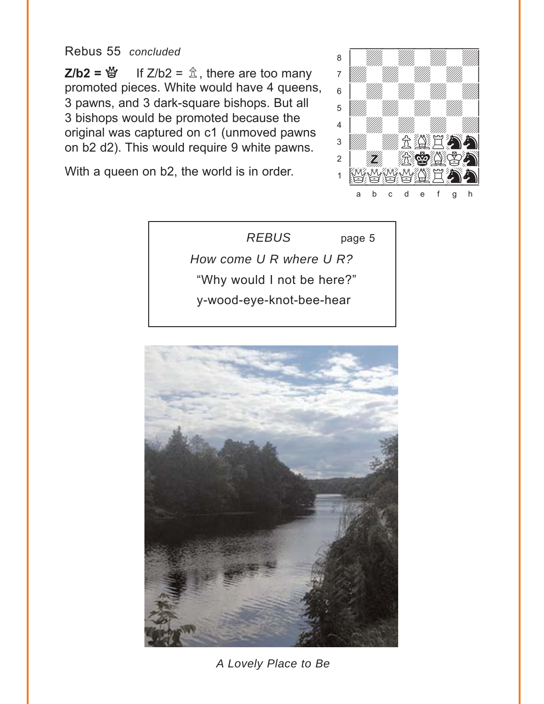#### <span id="page-17-0"></span>Rebus 55 concluded

**Z/b2** =  $\mathcal{L}$  If Z/b2 =  $\hat{\mathcal{L}}$ , there are too many promoted pieces. White would have 4 queens, 3 pawns, and 3 dark-square bishops. But all 3 bishops would be promoted because the original was captured on c1 (unmoved pawns on b2 d2). This would require 9 white pawns.

With a queen on b2, the world is in order.



**REBUS** page 5 How come U R where U R? "Why would I not be here?" y-wood-eye-knot-bee-hear



A Lovely Place to Be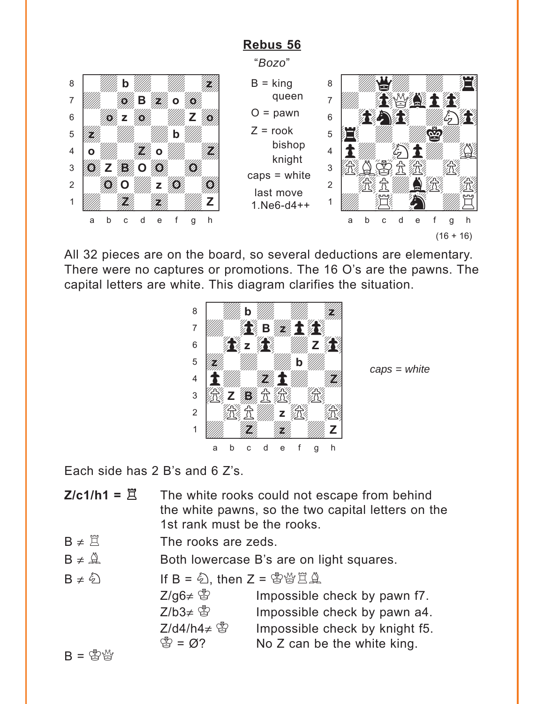# **[Rebus 56](#page-5-0)**

"*Bozo*"

<span id="page-18-0"></span>



All 32 pieces are on the board, so several deductions are elementary. There were no captures or promotions. The 16 O's are the pawns. The capital letters are white. This diagram clarifies the situation.



*caps = white*

Each side has 2 B's and 6 Z's.

- **Z/c1/h1 =**  $\ddot{\Xi}$  The white rooks could not escape from behind the white pawns, so the two capital letters on the 1st rank must be the rooks.
- $B \neq \overline{A}$  The rooks are zeds.
- $B \neq \mathbb{A}$  Both lowercase B's are on light squares.

| $B \neq \hat{\xi}$           | If $B = \hat{\xi}$ , then $Z = \hat{\xi} \hat{\xi} \hat{\xi}$ | Impossible check by the path $Z/\hat{\xi}$ |
|------------------------------|---------------------------------------------------------------|--------------------------------------------|
| $Z/\hat{\xi} \neq \hat{\xi}$ | Impossible check by the path $Z/\hat{\xi}$                    |                                            |
| $Z/\hat{\xi} \neq \hat{\xi}$ | Impossible check by the graph $\xi$                           |                                            |
| $Z/\hat{\xi} \neq \hat{\xi}$ | Impossible check by the length $\xi$                          |                                            |
| $B = \hat{\xi} \hat{\xi}$    | No $Z$ can be the white king.                                 |                                            |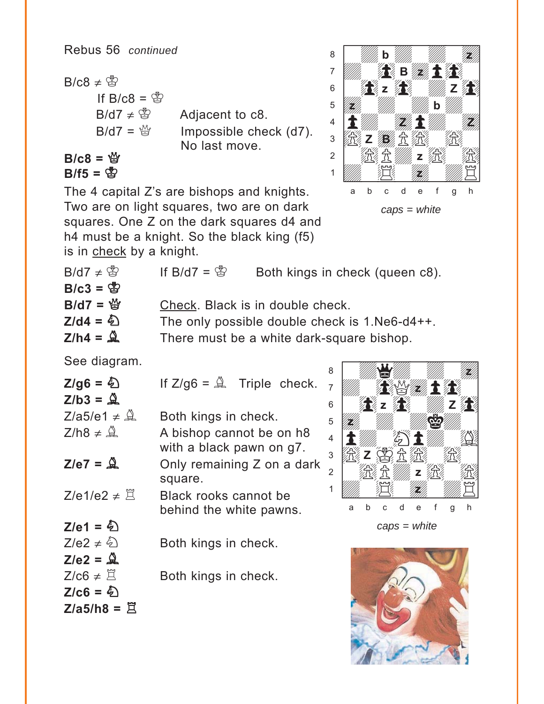$B/c8 \neq \circledS$ If B/c8 =  $\mathbb{S}$  $B/d7 \neq \circledS$ Adjacent to c8.  $B/d7 = \frac{M}{M}$ Impossible check (d7). No last move.

$$
B/c8 = \frac{16}{3}
$$
  
B/f5 =  $\frac{16}{32}$ 

The 4 capital Z's are bishops and knights. Two are on light squares, two are on dark squares. One Z on the dark squares d4 and h4 must be a knight. So the black king (f5)



| is in check by a knight.  |                         |                                                |
|---------------------------|-------------------------|------------------------------------------------|
| B/d7 $\neq$ $\circled{3}$ | If B/d7 = $\mathcal{B}$ | Both kings in check (queen c8).                |
| $B/c3 = \frac{B}{C}$      |                         |                                                |
| $B/d7 = \frac{M}{2}$      |                         | Check. Black is in double check.               |
| $Z$ /d4 = $\hat{Q}$       |                         | The only possible double check is 1. Ne6-d4++. |
| $Z/h4 = \mathcal{Q}$      |                         | There must be a white dark-square bishop.      |
|                           |                         |                                                |

See diagram.

| $Z/g6 = \textcircled{2}$<br>$Z/b3 = \mathcal{Q}$ | If $Z/q6 = \mathbb{Q}$ . Triple check.               |
|--------------------------------------------------|------------------------------------------------------|
| $Z/a5/e1 \neq \mathcal{Q}$                       | Both kings in check.                                 |
| $Z/h8 \neq \mathcal{Q}$                          | A bishop cannot be on h8<br>with a black pawn on g7. |
| $Z/e7 = \mathcal{Q}$                             | Only remaining Z on a dark<br>square.                |
| $Z/e1/e2 \neq \overline{\mathbb{R}}$             | Black rooks cannot be<br>behind the white pawns.     |
| $Z/e1 = \frac{E}{2}$                             |                                                      |
| $Z/e2 \neq \sqrt[6]{2}$                          | Both kings in check.                                 |
| $Z/e2 = \mathcal{Q}$                             |                                                      |
| $Z/c6 \neq \mathbb{Z}$                           | Both kings in check.                                 |
| $Z/c6 = \textcircled{2}$                         |                                                      |
| $Z/a5/h8 = \Xi$                                  |                                                      |



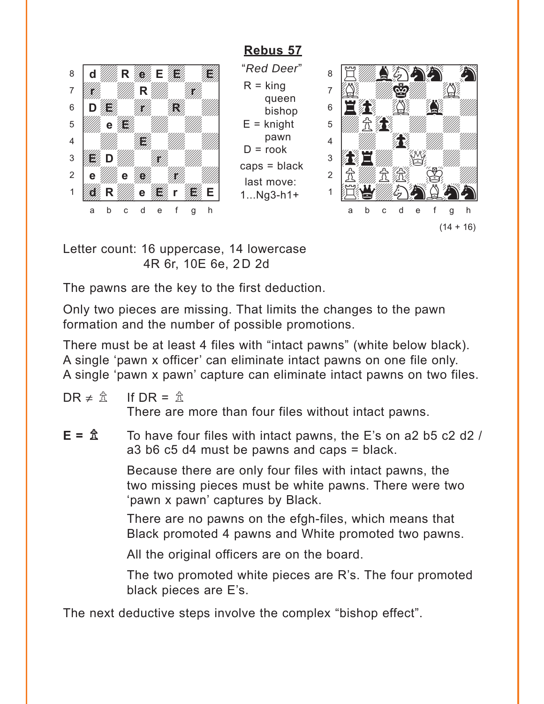# Rebus 57

<span id="page-20-0"></span>

"Red Deer"  $R =$ king queen bishop  $E =$  knight pawn  $D = \text{rook}$  $caps = black$ last move:  $1...Ng3-h1+$ 



Letter count: 16 uppercase, 14 lowercase 4R 6r, 10E 6e, 2D 2d

The pawns are the key to the first deduction.

Only two pieces are missing. That limits the changes to the pawn formation and the number of possible promotions.

There must be at least 4 files with "intact pawns" (white below black). A single 'pawn x officer' can eliminate intact pawns on one file only. A single 'pawn x pawn' capture can eliminate intact pawns on two files.

- $DR \neq \hat{\mathcal{R}}$ If  $DR = \hat{\mathbb{R}}$ There are more than four files without intact pawns.
- $E = \hat{\mathbb{Z}}$ To have four files with intact pawns, the E's on a2 b5 c2 d2 /  $a3$  b6 c5 d4 must be pawns and caps = black.

Because there are only four files with intact pawns, the two missing pieces must be white pawns. There were two 'pawn x pawn' captures by Black.

There are no pawns on the efgh-files, which means that Black promoted 4 pawns and White promoted two pawns.

All the original officers are on the board.

The two promoted white pieces are R's. The four promoted black pieces are E's.

The next deductive steps involve the complex "bishop effect".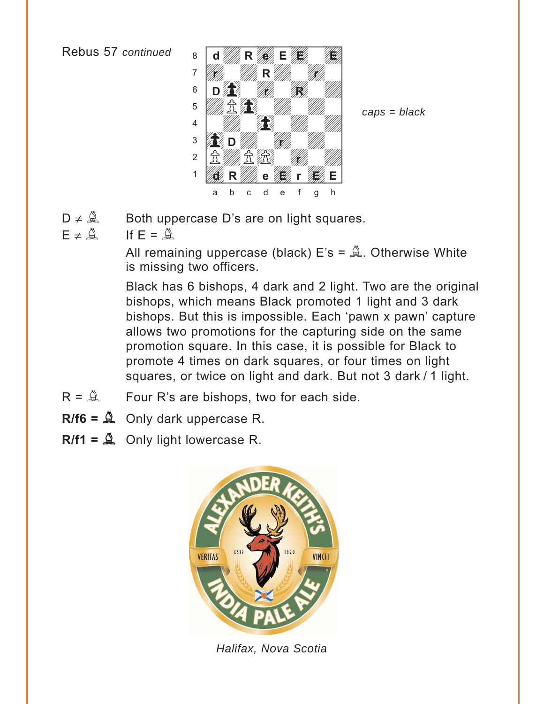

 $caps = black$ 

- $D \neq \mathcal{Q}$ Both uppercase D's are on light squares.
- $F \neq \mathcal{Q}$ If  $F = \mathbb{Q}$

All remaining uppercase (black)  $E's = \mathbb{Q}$ . Otherwise White is missing two officers.

Black has 6 bishops, 4 dark and 2 light. Two are the original bishops, which means Black promoted 1 light and 3 dark bishops. But this is impossible. Each 'pawn x pawn' capture allows two promotions for the capturing side on the same promotion square. In this case, it is possible for Black to promote 4 times on dark squares, or four times on light squares, or twice on light and dark. But not 3 dark / 1 light.

- $R = \mathbb{Q}$ Four R's are bishops, two for each side.
- $R/f6 = A$  Only dark uppercase R.
- $R/f1 = A$  Only light lowercase R.



Halifax, Nova Scotia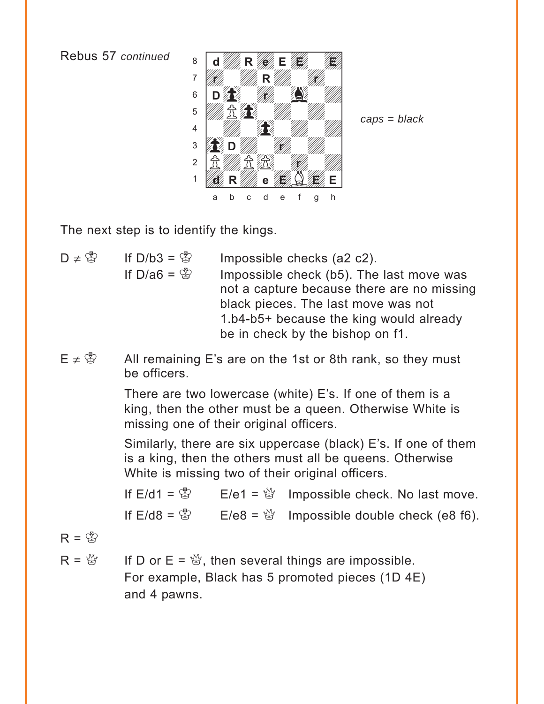

 $caps = black$ 

The next step is to identify the kings.

- $D \neq \mathbb{Z}$ If  $D/b3 = \mathbb{S}$ Impossible checks (a2 c2). If D/a6 =  $\mathbb{S}$ Impossible check (b5). The last move was not a capture because there are no missing black pieces. The last move was not 1.b4-b5+ because the king would already be in check by the bishop on f1.
- $F \neq \mathfrak{B}$ All remaining E's are on the 1st or 8th rank, so they must he officers

There are two lowercase (white) E's. If one of them is a king, then the other must be a queen. Otherwise White is missing one of their original officers.

Similarly, there are six uppercase (black) E's. If one of them is a king, then the others must all be queens. Otherwise White is missing two of their original officers.

If  $E/d1 = \frac{18}{12}$  $E/e1 = \frac{M}{Q}$  Impossible check. No last move. If  $F/d8 = \frac{R}{2}$  $E/e8 = \frac{160}{12}$  Impossible double check (e8 f6).

$$
R = \mathcal{B}
$$

If D or  $E = \mathcal{G}$ , then several things are impossible.  $R = \frac{M}{2}$ For example, Black has 5 promoted pieces (1D 4E) and 4 pawns.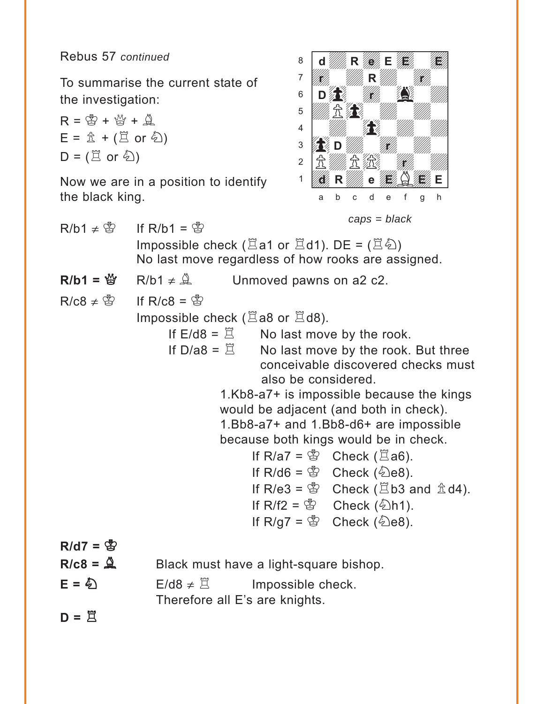Rebus 57 *continued*

To summarise the current state of the investigation:

$$
R = \mathcal{B} + \mathcal{B} + \mathcal{A}
$$
  
\n
$$
E = \mathbf{\hat{\pm}} + (\mathbf{\Xi} \text{ or } \mathbf{\hat{\Phi}})
$$
  
\n
$$
D = (\mathbf{\Xi} \text{ or } \mathbf{\hat{\Phi}})
$$

Now we are in a position to identify the black king.



$$
caps = black
$$

 $R/b1 \neq \overset{\circ}{\otimes}$  If R/b1 =  $\overset{\circ}{\otimes}$ Impossible check ( $\Xi$ a1 or  $\Xi$ d1). DE = ( $\Xi$  $\&$ ) No last move regardless of how rooks are assigned.  $R/b1 = \frac{M}{Q}$  R/b1  $\neq \frac{A}{Q}$  Unmoved pawns on a2 c2.  $R/c8 \neq \circled{2}$  If  $R/c8 = \circled{2}$ Impossible check ( $\Xi$ a8 or  $\Xi$ d8). If  $E/d8 = \mathbb{E}$  No last move by the rook. If  $D/a8 = \mathbb{E}$  No last move by the rook. But three conceivable discovered checks must also be considered. 1.Kb8-a7+ is impossible because the kings would be adjacent (and both in check). 1.Bb8-a7+ and 1.Bb8-d6+ are impossible because both kings would be in check. If R/a7 =  $\mathbb{S}$  Check ( $\Xi$ a6). If R/d6 =  $\mathscr{B}$  Check ( $\mathscr{B}$ e8). If R/e3 =  $\mathbb{S}$  Check ( $\Xi$ b3 and  $\hat{\Delta}$ d4). If R/f2 =  $\mathscr{B}$  Check ( $\mathscr{D}$ h1). If  $R/g7 = \mathcal{B}$  Check ( $\mathcal{B}$ ).  $R/d7 = \frac{R}{32}$  $R/c8 = \mathcal{Q}$  Black must have a light-square bishop.  $E = \bigotimes$  E/d8  $\neq \Xi$  Impossible check. Therefore all E's are knights.

 $D =$ 只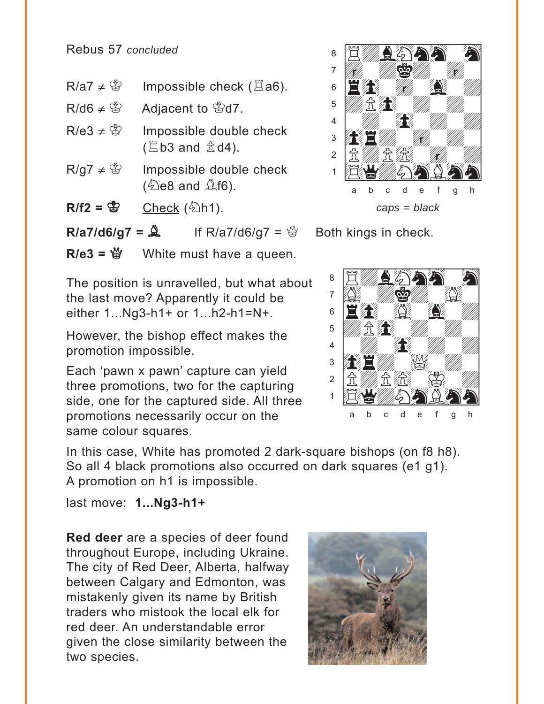Rebus 57 *concluded*

- $R/a7 \neq \circledS$  Impossible check ( $\Xi a6$ ).
- $R/d6 \neq \circledS$  Adjacent to  $\circledS$ d7.
- $R/e3 \neq \mathcal{B}$  Impossible double check  $(Eb3$  and  $\hat{\mathbb{Z}}$  d4).
- $R/g7 \neq \circledS$  Impossible double check  $(\&$ e8 and  $\&$ f6).
- $R/f2 = \frac{R}{B}$  Check ( $\frac{R}{D}$ h1).

**R/a7/d6/g7 =**  $\hat{A}$  **If R/a7/d6/g7 =**  $\hat{B}$  **Both kings in check.** 

 $R/e3 = \frac{M}{Q}$  White must have a queen.

The position is unravelled, but what about the last move? Apparently it could be either 1...Ng3-h1+ or 1...h2-h1=N+.

However, the bishop effect makes the promotion impossible.

Each 'pawn x pawn' capture can yield three promotions, two for the capturing side, one for the captured side. All three promotions necessarily occur on the same colour squares.

In this case, White has promoted 2 dark-square bishops (on f8 h8). So all 4 black promotions also occurred on dark squares (e1 g1). A promotion on h1 is impossible.

last move: **1...Ng3-h1+**

**Red deer** are a species of deer found throughout Europe, including Ukraine. The city of Red Deer, Alberta, halfway between Calgary and Edmonton, was mistakenly given its name by British traders who mistook the local elk for red deer. An understandable error given the close similarity between the two species.





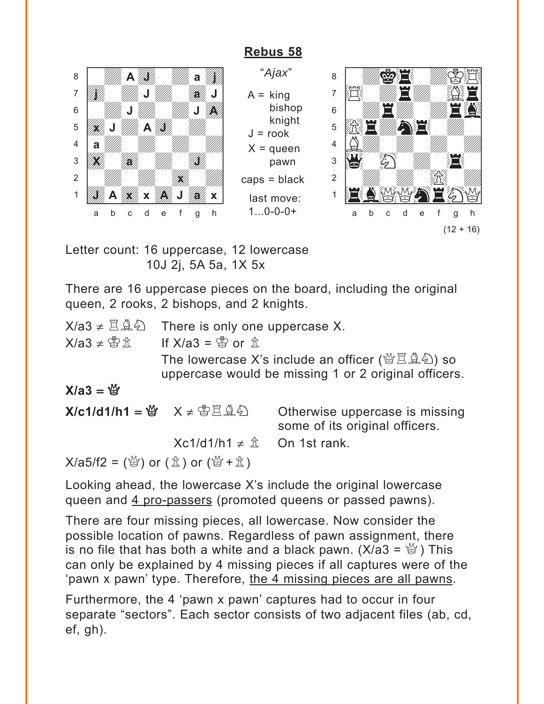# **[Rebus 58](#page-7-0)**

 $J =$ rook

<span id="page-25-0"></span>



Letter count: 16 uppercase, 12 lowercase 10J 2j, 5A 5a, 1X 5x

There are 16 uppercase pieces on the board, including the original queen, 2 rooks, 2 bishops, and 2 knights.

 $X/a3 \neq \mathbb{Z} \triangleq \mathbb{Z}$  There is only one uppercase X.

 $X/a3 \neq \overset{\infty}{\mathfrak{D}} \overset{\dagger}{\mathfrak{R}}$  If  $X/a3 = \overset{\infty}{\mathfrak{R}}$  or  $\overset{\dagger}{\mathfrak{R}}$ 

The lowercase X's include an officer ( $\mathcal{B}\boxtimes\mathcal{A}\oplus\mathcal{C}$ ) so uppercase would be missing 1 or 2 original officers.

#### $X/a3 = \frac{M}{2}$

**X/c1/d1/h1 = 營** X ≠ 窗罝奠 Otherwise uppercase is missing some of its original officers.  $Xc1/d1/h1 \neq \hat{\pi}$  On 1st rank.  $X/a5/f2 = \binom{M}{2}$  or  $(\triangle 0)$  or  $(\triangle 0) + \triangle 1$ 

Looking ahead, the lowercase X's include the original lowercase queen and 4 pro-passers (promoted queens or passed pawns).

There are four missing pieces, all lowercase. Now consider the possible location of pawns. Regardless of pawn assignment, there is no file that has both a white and a black pawn. ( $X/a3 = \frac{M}{Q}$ ) This can only be explained by 4 missing pieces if all captures were of the 'pawn x pawn' type. Therefore, the 4 missing pieces are all pawns.

Furthermore, the 4 'pawn x pawn' captures had to occur in four separate "sectors". Each sector consists of two adjacent files (ab, cd, ef, gh).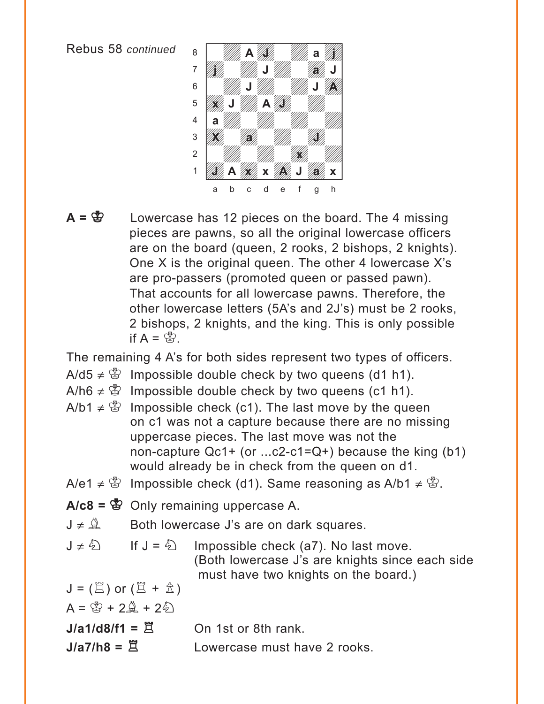

A =  $\ddot{\mathbf{g}}$  Lowercase has 12 pieces on the board. The 4 missing pieces are pawns, so all the original lowercase officers are on the board (queen, 2 rooks, 2 bishops, 2 knights). One X is the original queen. The other 4 lowercase X's are pro-passers (promoted queen or passed pawn). That accounts for all lowercase pawns. Therefore, the other lowercase letters (5A's and 2J's) must be 2 rooks, 2 bishops, 2 knights, and the king. This is only possible if  $A = \mathbb{S}$ .

The remaining 4 A's for both sides represent two types of officers.

- A/d5  $\neq$   $\mathbb{S}$  Impossible double check by two queens (d1 h1).
- A/h6  $\neq$   $\mathbb{S}$  Impossible double check by two queens (c1 h1).
- A/b1  $\neq$   $\mathcal{L}$  Impossible check (c1). The last move by the queen on c1 was not a capture because there are no missing uppercase pieces. The last move was not the non-capture Qc1+ (or ...c2-c1=Q+) because the king (b1) would already be in check from the queen on d1.
- A/e1  $\neq$   $\mathcal{L}$  Impossible check (d1). Same reasoning as A/b1  $\neq$   $\mathcal{L}$ .
- A/c8 =  $\mathbb{S}$  Only remaining uppercase A.
- $J \neq \mathbb{Q}$  Both lowercase J's are on dark squares.
- $J \neq \hat{Q}$  If  $J = \hat{Q}$  Impossible check (a7). No last move. (Both lowercase J's are knights since each side must have two knights on the board.)

 $J = (\Xi)$  or  $(\Xi + \hat{\mathbb{Z}})$  $A = \frac{A}{A} + 2\frac{A}{A} + 2\frac{E}{A}$ 

 $J/a1/d8/f1 = \tilde{\mathbb{R}}$  On 1st or 8th rank.

 $J/a7/h8 = \tilde{\mathbb{R}}$  Lowercase must have 2 rooks.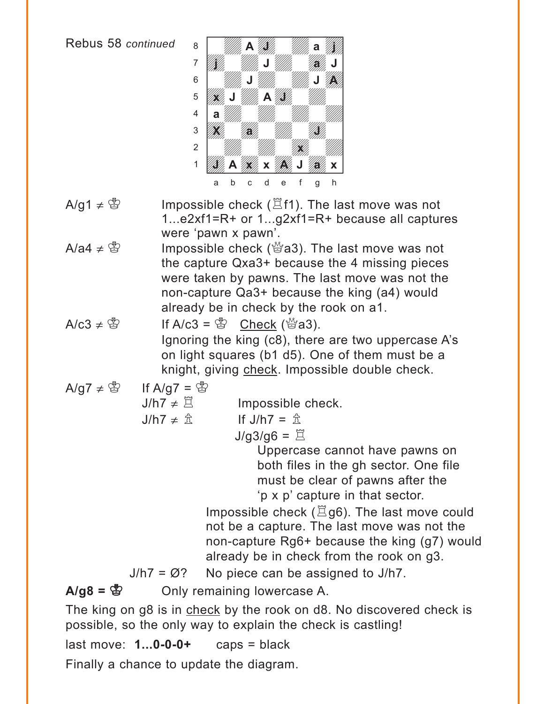

- A/g1  $\neq$  \form{B} 3} Impossible check ( $\Xi$ f1). The last move was not 1...e2xf1=R+ or 1...g2xf1=R+ because all captures were 'pawn x pawn'.
- A/a4  $\neq$  \figsta S impossible check (\ighta 3). The last move was not the capture Qxa3+ because the 4 missing pieces were taken by pawns. The last move was not the non-capture Qa3+ because the king (a4) would already be in check by the rook on a1.
- $A/c3 \neq \overset{\circ}{\otimes}$  If  $A/c3 = \overset{\circ}{\otimes}$  Check ( $\overset{\circ}{\otimes}$  a3). Ignoring the king (c8), there are two uppercase A's on light squares (b1 d5). One of them must be a knight, giving check. Impossible double check.
- A/g7  $\neq$   $\circled{3}$  If A/g7 =  $\circled{3}$ 
	- $J/h7 \neq \mathbb{Z}$  Impossible check.

 $J/h7 \neq \hat{\pi}$  If  $J/h7 = \hat{\pi}$ 

 $J/g3/g6 = \mathbb{Z}$ 

Uppercase cannot have pawns on both files in the gh sector. One file must be clear of pawns after the 'p x p' capture in that sector.

Impossible check  $(\Xi$ g6). The last move could not be a capture. The last move was not the non-capture Rg6+ because the king (g7) would already be in check from the rook on g3.

 $J/h7 = \emptyset$ ? No piece can be assigned to  $J/h7$ .

**A/g8 =**  $\mathbb{S}$  **Only remaining lowercase A.** 

The king on g8 is in check by the rook on d8. No discovered check is possible, so the only way to explain the check is castling!

last move: **1...0-0-0+** caps = black

Finally a chance to update the diagram.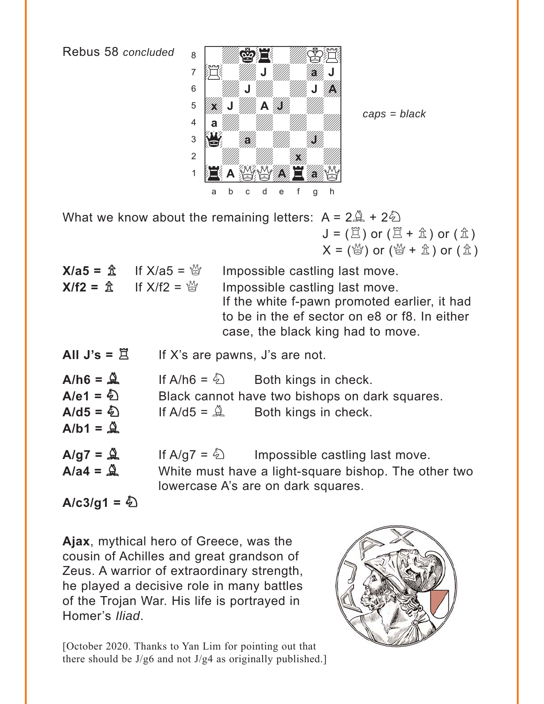Rebus 58 concluded



 $caps = black$ 

What we know about the remaining letters:  $A = 2\hat{A} + 2\hat{D}$  $J = (\Xi)$  or  $(\Xi + \hat{\mathbb{Z}})$  or  $(\hat{\mathbb{Z}})$  $X = \left(\stackrel{M}{\oplus}\right)$  or  $\left(\stackrel{M}{\oplus} + \stackrel{A}{\Delta}\right)$  or  $\left(\stackrel{A}{\Delta}\right)$ 

| <b>X/a5</b> = $\hat{\mathbb{X}}$ If X/a5 = $\hat{\mathbb{Y}}$ | Impossible castling last move.                                                                                                                                       |
|---------------------------------------------------------------|----------------------------------------------------------------------------------------------------------------------------------------------------------------------|
| $X/f2 = \hat{x}$ If $X/f2 = \hat{y}$                          | Impossible castling last move.<br>If the white f-pawn promoted earlier, it had<br>to be in the ef sector on e8 or f8. In either<br>case, the black king had to move. |

| All J's = $\Xi$ |  | If X's are pawns, J's are not. |  |
|-----------------|--|--------------------------------|--|
|-----------------|--|--------------------------------|--|

 $A/h6 = \mathbf{Q}$ If A/h6 =  $\hat{\phi}$ Both kings in check.  $A/e1 = \sum$ 

Black cannot have two bishops on dark squares.

 $A/d5 = \frac{E}{2}$ If A/d5 =  $\triangle$ Both kings in check.  $A/b1 = \mathbf{\hat{Q}}$ 

 $A/g7 = \overset{\wedge}{\mathscr{A}}$ If A/g7 =  $\frac{1}{2}$ Impossible castling last move.  $A/a4 = \mathbf{\mathbf{\Delta}}$ White must have a light-square bishop. The other two lowercase A's are on dark squares.

 $A/c3/g1 = \textcircled{2}$ 

Ajax, mythical hero of Greece, was the cousin of Achilles and great grandson of Zeus. A warrior of extraordinary strength, he played a decisive role in many battles of the Trojan War. His life is portrayed in Homer's Iliad.

[October 2020. Thanks to Yan Lim for pointing out that there should be  $J/g6$  and not  $J/g4$  as originally published.]

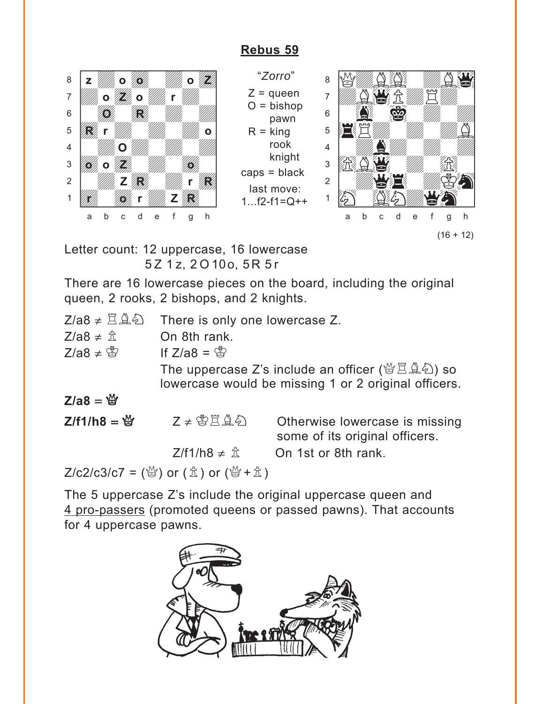### **[Rebus 59](#page-8-0)**

<span id="page-29-0"></span>

"*Zorro*"  $Z =$ queen  $O = b$ ishop pawn  $R =$  king rook knight caps = black last move:  $1...f2-f1=Q++$ 



Letter count: 12 uppercase, 16 lowercase 5 Z 1 z, 2 O 10o, 5R 5 r

There are 16 lowercase pieces on the board, including the original queen, 2 rooks, 2 bishops, and 2 knights.

| $Z/a8 \neq ZQ$               | There is only one lowercase Z.  |                                                                                                                                                   |  |  |
|------------------------------|---------------------------------|---------------------------------------------------------------------------------------------------------------------------------------------------|--|--|
| $Z/a8 \neq \hat{\mathbb{Z}}$ | On 8th rank.                    |                                                                                                                                                   |  |  |
| $Z/a8 \neq \mathcal{Z}$      | If $Z/a8 = \frac{a}{a}$         |                                                                                                                                                   |  |  |
|                              |                                 | The uppercase Z's include an officer ( $\mathcal{B}\supseteq \mathcal{A}\mathcal{D}$ ) so<br>lowercase would be missing 1 or 2 original officers. |  |  |
| $Z/a8 = \frac{M}{2}$         |                                 |                                                                                                                                                   |  |  |
| $Z/f1/h8 =$                  | $Z \neq \mathcal{B}$            | Otherwise lowercase is missing<br>some of its original officers.                                                                                  |  |  |
|                              | $Z/f1/h8 \neq \hat{\mathbb{Z}}$ | On 1st or 8th rank.                                                                                                                               |  |  |
|                              |                                 |                                                                                                                                                   |  |  |

 $Z/c2/c3/c7 =$  ( $\frac{M}{Q}$ ) or ( $\hat{\pm}$ ) or ( $\frac{M}{Q} + \hat{\pm}$ )

The 5 uppercase Z's include the original uppercase queen and 4 pro-passers (promoted queens or passed pawns). That accounts for 4 uppercase pawns.

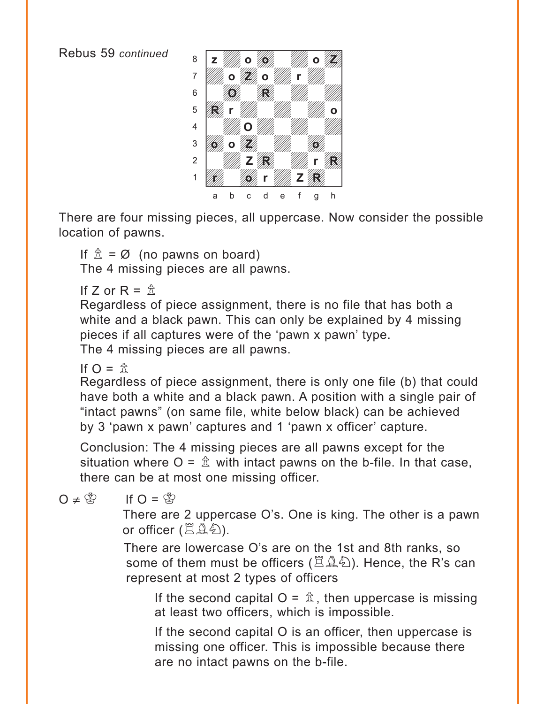

There are four missing pieces, all uppercase. Now consider the possible location of pawns.

If  $\hat{\mathbb{Z}} = \emptyset$  (no pawns on board) The 4 missing pieces are all pawns.

If  $7$  or  $R = \hat{\pi}$ 

Regardless of piece assignment, there is no file that has both a white and a black pawn. This can only be explained by 4 missing pieces if all captures were of the 'pawn x pawn' type. The 4 missing pieces are all pawns.

If  $\Omega = \hat{\pi}$ 

Regardless of piece assignment, there is only one file (b) that could have both a white and a black pawn. A position with a single pair of "intact pawns" (on same file, white below black) can be achieved by 3 'pawn x pawn' captures and 1 'pawn x officer' capture.

Conclusion: The 4 missing pieces are all pawns except for the situation where  $O = \hat{\mathbb{Z}}$  with intact pawns on the b-file. In that case, there can be at most one missing officer.

 $O \neq \overset{\circ}{\otimes}$  If  $O = \overset{\circ}{\otimes}$ 

There are 2 uppercase O's. One is king. The other is a pawn or officer (旦鱼剑).

There are lowercase O's are on the 1st and 8th ranks, so some of them must be officers ( $\mathbb{Z}\hat{\mathbb{A}}\hat{\mathbb{Z}}$ ). Hence, the R's can represent at most 2 types of officers

If the second capital  $O = \hat{\mathbb{Z}}$ , then uppercase is missing at least two officers, which is impossible.

If the second capital O is an officer, then uppercase is missing one officer. This is impossible because there are no intact pawns on the b-file.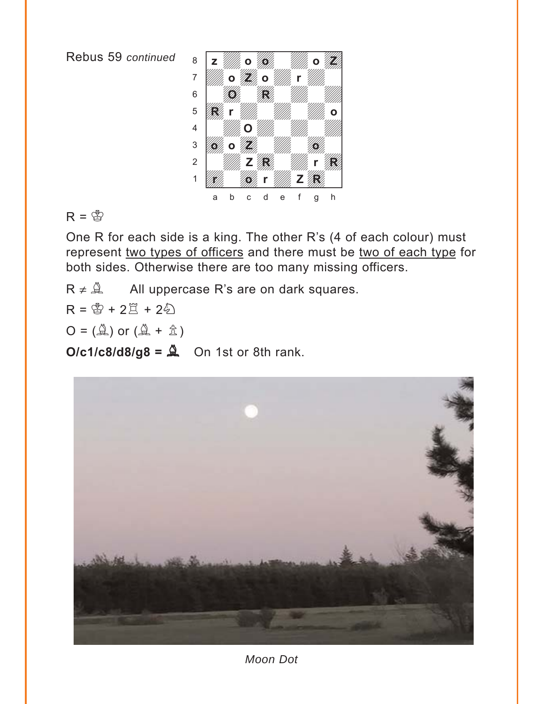

 $R = \circledS$ 

One R for each side is a king. The other R's (4 of each colour) must represent two types of officers and there must be two of each type for both sides. Otherwise there are too many missing officers.

 $R \neq \hat{A}$  All uppercase R's are on dark squares.

 $R = \circledS + 2\circledR + 2\circledR$ 

 $O = (\overset{\wedge}{\mathbb{A}})$  or  $(\overset{\wedge}{\mathbb{A}} + \overset{\wedge}{\mathbb{A}})$ 

 $O/c1/c8/d8/g8 = \hat{a}$  On 1st or 8th rank.



*Moon Dot*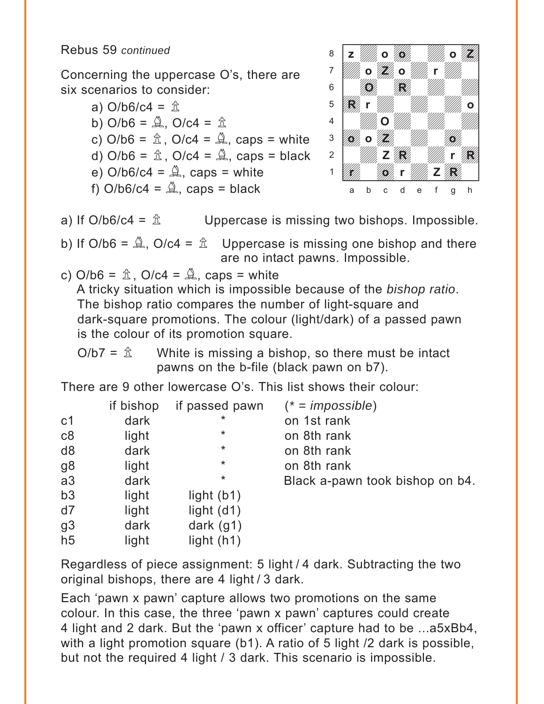Concerning the uppercase O's, there are six scenarios to consider:

> a)  $O/b6/c4 =  $\hat{\mathbb{Z}}$$ b)  $O/b6 = \mathcal{Q}$ ,  $O/c4 = \mathcal{Q}$ c)  $O/b6 = \hat{\mathbb{A}}$ ,  $O/c4 = \hat{\mathbb{A}}$ , caps = white d) O/b6 =  $\hat{\mathbb{Z}}$ , O/c4 =  $\hat{\mathbb{Z}}$ , caps = black e)  $O/b6/c4 = \mathcal{Q}$ , caps = white f)  $O/b6/c4 = \mathcal{Q}$ , caps = black



a) If O/b6/c4 =  $\hat{\mathbb{Z}}$  Uppercase is missing two bishops. Impossible.

b) If O/b6 =  $\hat{\mathbb{A}}$ , O/c4 =  $\hat{\mathbb{A}}$  Uppercase is missing one bishop and there are no intact pawns. Impossible.

c) 
$$
O/b6 = \hat{\mathbb{A}}
$$
,  $O/c4 = \hat{\mathbb{A}}$ , caps = white

A tricky situation which is impossible because of the *bishop ratio*. The bishop ratio compares the number of light-square and dark-square promotions. The colour (light/dark) of a passed pawn is the colour of its promotion square.

 $O/b7 = \hat{\mathbb{Z}}$  White is missing a bishop, so there must be intact pawns on the b-file (black pawn on b7).

There are 9 other lowercase O's. This list shows their colour:

|                | if bishop | if passed pawn | $(* = \text{impossible})$       |
|----------------|-----------|----------------|---------------------------------|
| c <sub>1</sub> | dark      | *              | on 1st rank                     |
| c8             | light     | $\ast$         | on 8th rank                     |
| d <sub>8</sub> | dark      | $\ast$         | on 8th rank                     |
| g8             | light     | $\ast$         | on 8th rank                     |
| a3             | dark      | *              | Black a-pawn took bishop on b4. |
| b3             | light     | light $(b1)$   |                                 |
| d7             | light     | light $(d1)$   |                                 |
| g <sub>3</sub> | dark      | dark $(g1)$    |                                 |
| h <sub>5</sub> | light     | light $(h1)$   |                                 |

Regardless of piece assignment: 5 light / 4 dark. Subtracting the two original bishops, there are 4 light / 3 dark.

Each 'pawn x pawn' capture allows two promotions on the same colour. In this case, the three 'pawn x pawn' captures could create 4 light and 2 dark. But the 'pawn x officer' capture had to be ...a5xBb4, with a light promotion square (b1). A ratio of 5 light /2 dark is possible, but not the required 4 light / 3 dark. This scenario is impossible.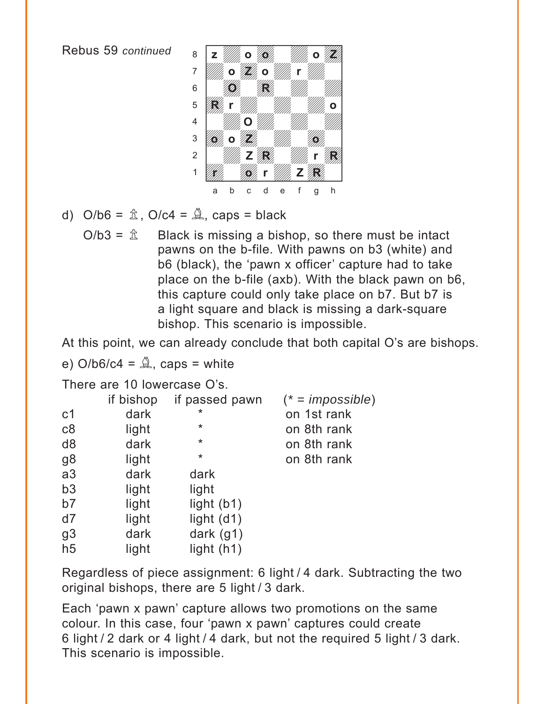

- d)  $O/b6 = \hat{\mathbb{A}}$ ,  $O/c4 = \hat{\mathbb{A}}$ , caps = black
	- $O/b3 = \hat{\mathbb{Z}}$  Black is missing a bishop, so there must be intact pawns on the b-file. With pawns on b3 (white) and b6 (black), the 'pawn x officer' capture had to take place on the b-file (axb). With the black pawn on b6, this capture could only take place on b7. But b7 is a light square and black is missing a dark-square bishop. This scenario is impossible.

At this point, we can already conclude that both capital O's are bishops.

e)  $O/b6/c4 = \mathcal{Q}$ , caps = white

There are 10 lowercase O's.

|                | if bishop | if passed pawn | $(* = \text{impossible})$ |
|----------------|-----------|----------------|---------------------------|
| c <sub>1</sub> | dark      | $\star$        | on 1st rank               |
| c8             | light     | $^\star$       | on 8th rank               |
| d <sub>8</sub> | dark      | $\star$        | on 8th rank               |
| g8             | light     | *              | on 8th rank               |
| a3             | dark      | dark           |                           |
| b3             | light     | light          |                           |
| b7             | light     | light $(b1)$   |                           |
| d7             | light     | light $(d1)$   |                           |
| g <sub>3</sub> | dark      | dark $(g1)$    |                           |
| h <sub>5</sub> | light     | light $(h1)$   |                           |

Regardless of piece assignment: 6 light / 4 dark. Subtracting the two original bishops, there are 5 light / 3 dark.

Each 'pawn x pawn' capture allows two promotions on the same colour. In this case, four 'pawn x pawn' captures could create 6 light / 2 dark or 4 light / 4 dark, but not the required 5 light / 3 dark. This scenario is impossible.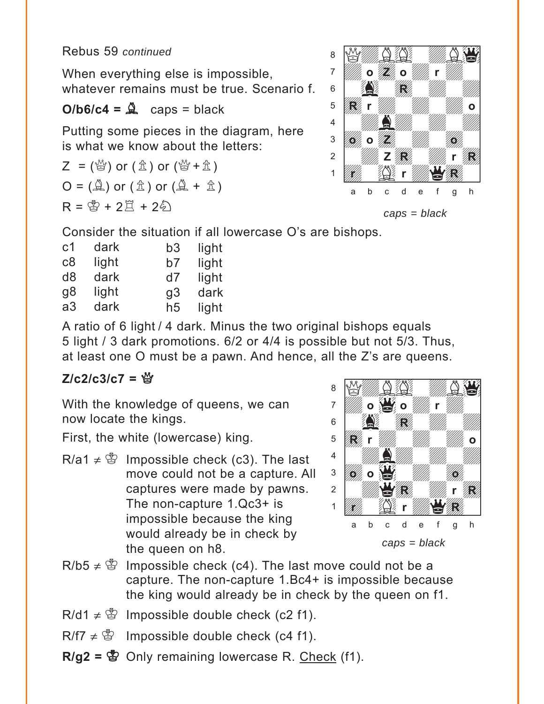When everything else is impossible, whatever remains must be true. Scenario f.

# $O/b6/c4 = \frac{6}{26}$  caps = black

Putting some pieces in the diagram, here is what we know about the letters:

 $Z = \binom{M}{2}$  or  $(\mathbb{\hat{Z}})$  or  $(\mathbb{\hat{Z}} + \mathbb{\hat{Z}})$  $Q = (\hat{\mathbb{A}})$  or  $(\hat{\mathbb{A}} + \hat{\mathbb{A}})$  $R = \frac{R}{2} + 2\frac{R}{2} + 2\frac{R}{2}$ 



*caps = black*

Consider the situation if all lowercase O's are bishops.

| c <sub>1</sub> | dark  | b3             | light |
|----------------|-------|----------------|-------|
| c8             | light | b7             | light |
| d <sub>8</sub> | dark  | d7             | light |
| g8             | light | g3             | dark  |
| a3             | dark  | h <sub>5</sub> | light |

A ratio of 6 light / 4 dark. Minus the two original bishops equals 5 light / 3 dark promotions. 6/2 or 4/4 is possible but not 5/3. Thus, at least one O must be a pawn. And hence, all the Z's are queens.

# $Z/c2/c3/c7 =$

With the knowledge of queens, we can now locate the kings.

First, the white (lowercase) king.

R/a1  $\neq$   $\mathcal{L}$  Impossible check (c3). The last move could not be a capture. All captures were made by pawns. The non-capture 1.Qc3+ is impossible because the king would already be in check by the queen on h8.



- $R/b5 \neq \mathcal{B}$  Impossible check (c4). The last move could not be a capture. The non-capture 1.Bc4+ is impossible because the king would already be in check by the queen on f1.
- $R/d1 \neq \mathcal{L}$  Impossible double check (c2 f1).
- $R/f7 \neq \mathcal{B}$  Impossible double check (c4 f1).
- $R/g2 =$   $\bullet$  Only remaining lowercase R. Check (f1).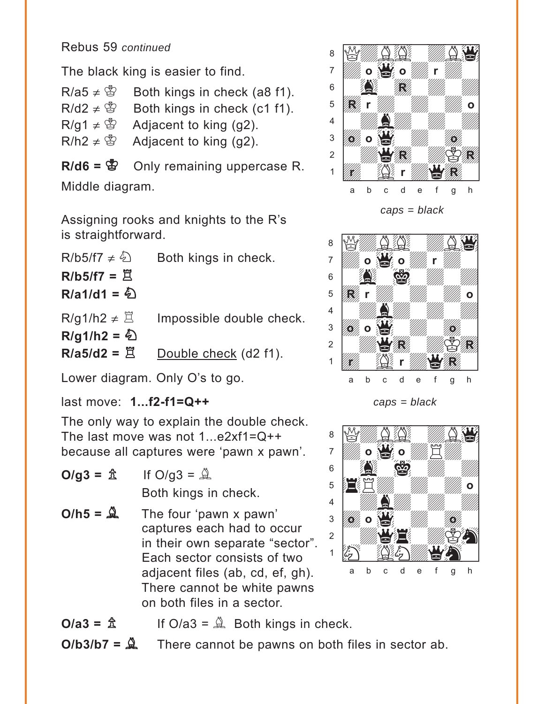The black king is easier to find.

 $R/a5 \neq \circledS$  Both kings in check (a8 f1).  $R/d2 \neq \mathcal{B}$  Both kings in check (c1 f1).  $R/g1 \neq \mathcal{B}$  Adjacent to king (g2).  $R/h2 \neq \mathcal{L}$  Adjacent to king (g2).

**R/d6 =**  $\mathbf{E}$  Only remaining uppercase R.

Middle diagram.

Assigning rooks and knights to the R's is straightforward.

| $R/b5/f7 \neq \frac{E}{2}$  | Both kings in check.     |
|-----------------------------|--------------------------|
| $R/b5/f7 = \mathbb{Z}$      |                          |
| R/a1/d1 = $\circled{2}$     |                          |
| $R/g1/h2 \neq \mathbb{Z}$   | Impossible double check. |
| $R/g1/h2 = \textcircled{2}$ |                          |
| $R/a5/d2 = \mathbb{Z}$      | Double check (d2 f1).    |

Lower diagram. Only O's to go.

last move: **1...f2-f1=Q++** 

The only way to explain the double check. The last move was not 1...e2xf1=Q++ because all captures were 'pawn x pawn'.

$$
O/g3 = \hat{\mathbb{L}} \qquad \text{If } O/g3 = \hat{\mathbb{L}}
$$

Both kings in check.

 $O/h5 = \frac{\Delta}{2}$  The four 'pawn x pawn' captures each had to occur in their own separate "sector". Each sector consists of two adjacent files (ab, cd, ef, gh). There cannot be white pawns on both files in a sector.



$$
caps = black
$$



*caps = black*



 $O/a3 = \frac{A}{2}$  If  $O/a3 = \frac{A}{2}$  Both kings in check.

 $O/b3/b7 = \mathcal{Q}$  There cannot be pawns on both files in sector ab.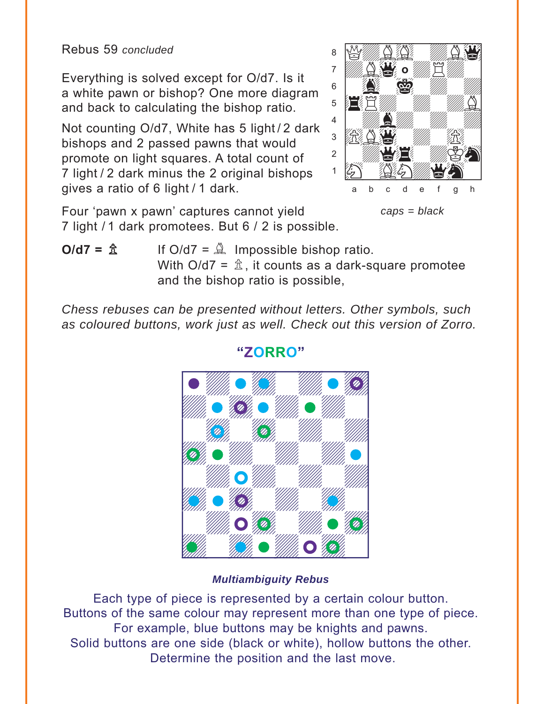Rebus 59 *concluded*

Everything is solved except for O/d7. Is it a white pawn or bishop? One more diagram and back to calculating the bishop ratio.

Not counting O/d7, White has 5 light / 2 dark bishops and 2 passed pawns that would promote on light squares. A total count of 7 light / 2 dark minus the 2 original bishops gives a ratio of 6 light / 1 dark.

with the set of the set of the set of the set of the set of the set of the set of the set of the set of the set of the set of the set of the set of the set of the set of the set of the set of the set of the set of the set <sup>8</sup> My AQ MAC <sup>7</sup> WARD O WE WIN  $\mathbf{s}$   $\mathbf{S}$   $\mathbf{w}$   $\mathbf{w}$  $\overline{\mathbf{E}}$ Eway 4 | *William Milley William William William William William William William William William William William William*  $\frac{1}{2}$   $\frac{1}{2}$   $\frac{1}{2}$   $\frac{1}{2}$   $\frac{1}{2}$   $\frac{1}{2}$   $\frac{1}{2}$   $\frac{1}{2}$   $\frac{1}{2}$  $\frac{1}{2}$ ÚHwGNdqhw] a b c d e f g h **o**

*caps = black*

Four 'pawn x pawn' captures cannot yield 7 light / 1 dark promotees. But 6 / 2 is possible.

 $O/d7 = \frac{A}{2}$  If  $O/d7 = \frac{A}{2}$  Impossible bishop ratio. With  $O/d7 = \hat{\mathbb{Z}}$ , it counts as a dark-square promotee and the bishop ratio is possible,

*Chess rebuses can be presented without letters. Other symbols, such as coloured buttons, work just as well. Check out this version of Zorro.* 



**"ZORRO"**

Each type of piece is represented by a certain colour button. Buttons of the same colour may represent more than one type of piece. For example, blue buttons may be knights and pawns. Solid buttons are one side (black or white), hollow buttons the other. Determine the position and the last move.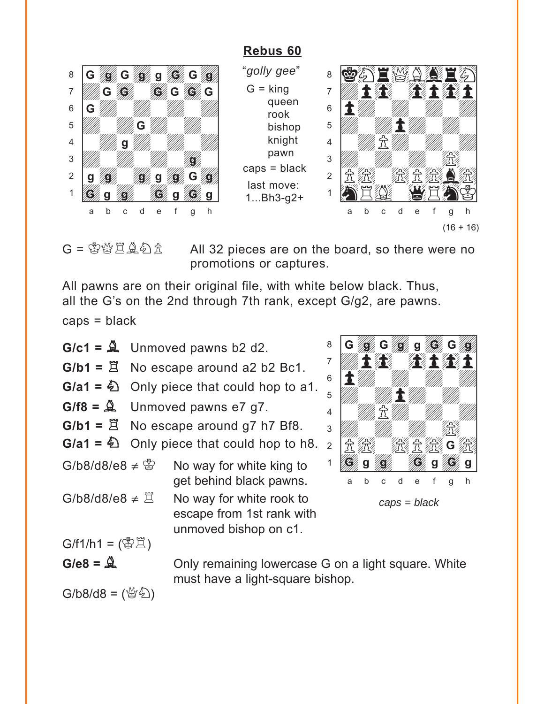# **[Rebus 60](#page-9-0)**

<span id="page-37-0"></span>

"*golly gee*"  $G =$  king queen rook bishop knight pawn caps = black last move: 1...Bh3-g2+



 $G = \mathbb{S} \mathbb{S} \mathbb{Z} \mathbb{Z} \mathbb{Z}$   $\mathbb{Z}$  All 32 pieces are on the board, so there were no promotions or captures.

All pawns are on their original file, with white below black. Thus, all the G's on the 2nd through 7th rank, except G/g2, are pawns.

 $caps = black$ 

 $G/c1 = \frac{A}{2}$  Unmoved pawns b2 d2.  $G/b1 = \mathbb{E}$  No escape around a2 b2 Bc1. **G/a1 =** N Only piece that could hop to a1.  $G/f8 = \mathcal{Q}$  Unmoved pawns e7 g7.  $G/b1 = \mathbb{E}$  No escape around g7 h7 Bf8. **G/a1 =** N Only piece that could hop to h8. G/b8/d8/e8  $\neq$   $\overset{\circ}{\otimes}$  No way for white king to get behind black pawns. G/b8/d8/e8  $\neq \mathbb{Z}$  No way for white rook to escape from 1st rank with unmoved bishop on c1.  $G/f1/h1 = (\mathcal{B}\mathbb{E})$ 



G/e8 =  $\triangle$  Only remaining lowercase G on a light square. White must have a light-square bishop.

 $G/b8/d8 = \binom{M}{2}$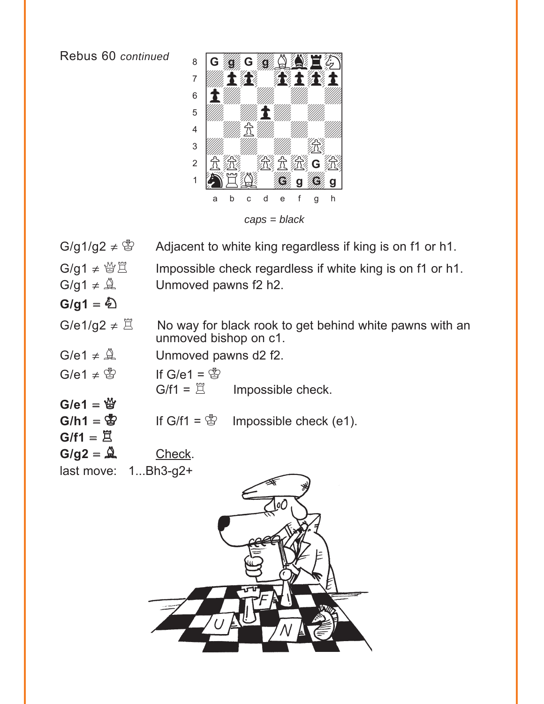Rebus 60 continued



 $G/g1/g2 \neq$ Adjacent to white king regardless if king is on f1 or h1.

 $G/q1 \neq \mathcal{C} \times \mathbb{Z}$ Impossible check regardless if white king is on f1 or h1.  $G/g1 \neq \mathcal{Q}$ Unmoved pawns f2 h2.

 $G/g1 = \sum$ 

 $G/f1 = \underline{\Xi}$ 

G/e1/g2  $\neq \Xi$ No way for black rook to get behind white pawns with an unmoved bishop on c1.

 $G/e1 \neq \overset{N}{\triangle}$ Unmoved pawns d2 f2.

 $G/e1 \neq \mathcal{B}$ If  $G/e1 = \mathcal{B}$  $G/f1 = \mathbb{Z}$ Impossible check.  $G/e1 = \frac{M}{G}$  $G/h1 = \mathbb{S}$ 

If  $G/f1 = \mathcal{B}$ Impossible check (e1).

 $G/g2 = \overset{\wedge}{\mathfrak{L}}$ Check.

last move:  $1...Bh3-g2+$